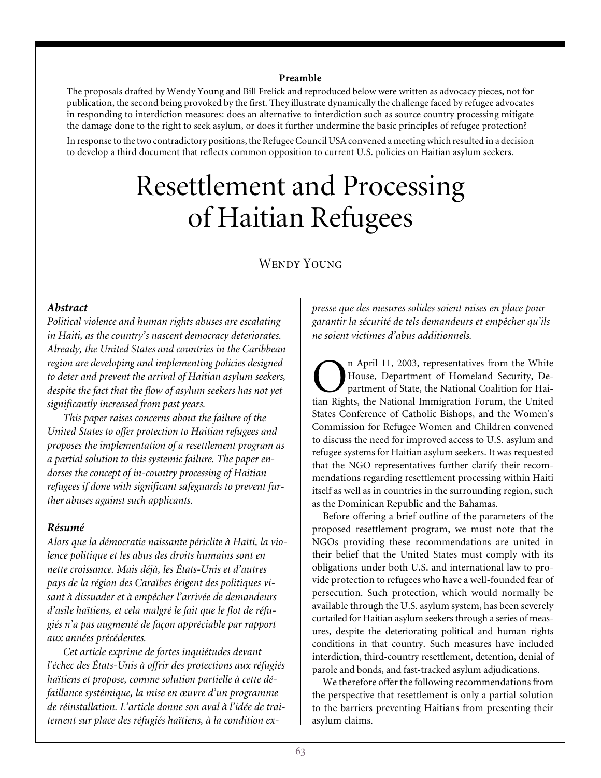#### **Preamble**

The proposals drafted by Wendy Young and Bill Frelick and reproduced below were written as advocacy pieces, not for publication, the second being provoked by the first. They illustrate dynamically the challenge faced by refugee advocates in responding to interdiction measures: does an alternative to interdiction such as source country processing mitigate the damage done to the right to seek asylum, or does it further undermine the basic principles of refugee protection?

In response to the two contradictory positions, the Refugee Council USA convened a meeting which resulted in a decision to develop a third document that reflects common opposition to current U.S. policies on Haitian asylum seekers.

# Resettlement and Processing of Haitian Refugees

## WENDY YOUNG

## *Abstract*

*Political violence and human rights abuses are escalating in Haiti, as the country's nascent democracy deteriorates. Already, the United States and countries in the Caribbean region are developing and implementing policies designed to deter and prevent the arrival of Haitian asylum seekers, despite the fact that the flow of asylum seekers has not yet significantly increased from past years.*

*This paper raises concerns about the failure of the United States to offer protection to Haitian refugees and proposes the implementation of a resettlement program as a partial solution to this systemic failure. The paper endorses the concept of in-country processing of Haitian refugees if done with significant safeguards to prevent further abuses against such applicants.*

#### *Résumé*

*Alors que la démocratie naissante périclite à Haïti, la violence politique et les abus des droits humains sont en nette croissance. Mais déjà, les États-Unis et d'autres pays de la région des Caraïbes érigent des politiques visant à dissuader et à empêcher l'arrivée de demandeurs d'asile haïtiens, et cela malgré le fait que le flot de réfugiés n'a pas augmenté de façon appréciable par rapport aux années précédentes.*

*Cet article exprime de fortes inquiétudes devant l'échec des États-Unis à offrir des protections aux réfugiés haïtiens et propose, comme solution partielle à cette défaillance systémique, la mise en œuvre d'un programme de réinstallation. L'article donne son aval à l'idée de traitement sur place des réfugiés haïtiens, à la condition ex-* *presse que des mesures solides soient mises en place pour garantir la sécurité de tels demandeurs et empêcher qu'ils ne soient victimes d'abus additionnels.*

**On** April 11, 2003, representatives from the White<br>House, Department of Homeland Security, Department of State, the National Coalition for Hai-<br>tian Rights, the National Immigration Forum, the United House, Department of Homeland Security, Department of State, the National Coalition for Haitian Rights, the National Immigration Forum, the United States Conference of Catholic Bishops, and the Women's Commission for Refugee Women and Children convened to discuss the need for improved access to U.S. asylum and refugee systems for Haitian asylum seekers. It was requested that the NGO representatives further clarify their recommendations regarding resettlement processing within Haiti itself as well as in countries in the surrounding region, such as the Dominican Republic and the Bahamas.

Before offering a brief outline of the parameters of the proposed resettlement program, we must note that the NGOs providing these recommendations are united in their belief that the United States must comply with its obligations under both U.S. and international law to provide protection to refugees who have a well-founded fear of persecution. Such protection, which would normally be available through the U.S. asylum system, has been severely curtailed for Haitian asylum seekers through a series of measures, despite the deteriorating political and human rights conditions in that country. Such measures have included interdiction, third-country resettlement, detention, denial of parole and bonds, and fast-tracked asylum adjudications.

We therefore offer the following recommendations from the perspective that resettlement is only a partial solution to the barriers preventing Haitians from presenting their asylum claims.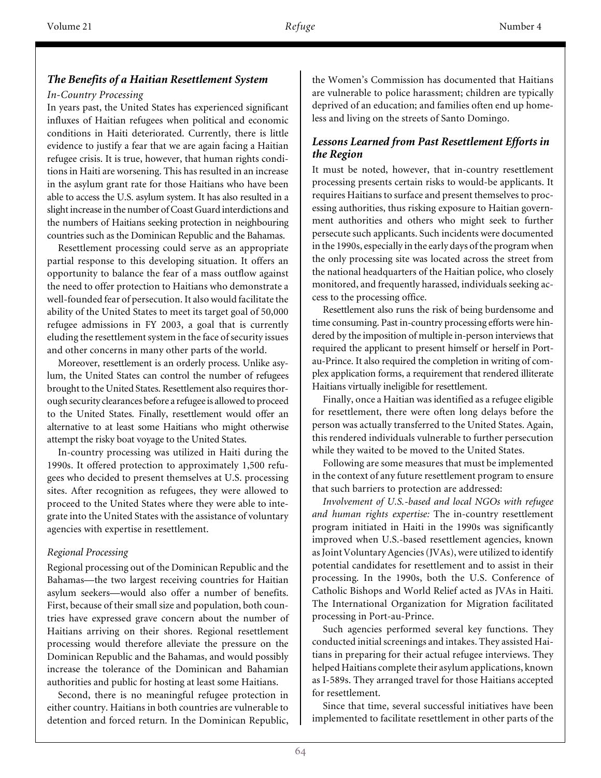## *The Benefits of a Haitian Resettlement System*

### *In-Country Processing*

In years past, the United States has experienced significant influxes of Haitian refugees when political and economic conditions in Haiti deteriorated. Currently, there is little evidence to justify a fear that we are again facing a Haitian refugee crisis. It is true, however, that human rights conditions in Haiti are worsening. This has resulted in an increase in the asylum grant rate for those Haitians who have been able to access the U.S. asylum system. It has also resulted in a slight increase in the number of Coast Guard interdictions and the numbers of Haitians seeking protection in neighbouring countries such as the Dominican Republic and the Bahamas.

Resettlement processing could serve as an appropriate partial response to this developing situation. It offers an opportunity to balance the fear of a mass outflow against the need to offer protection to Haitians who demonstrate a well-founded fear of persecution. It also would facilitate the ability of the United States to meet its target goal of 50,000 refugee admissions in FY 2003, a goal that is currently eluding the resettlement system in the face of security issues and other concerns in many other parts of the world.

Moreover, resettlement is an orderly process. Unlike asylum, the United States can control the number of refugees brought to the United States. Resettlement also requires thorough security clearances before a refugee is allowed to proceed to the United States. Finally, resettlement would offer an alternative to at least some Haitians who might otherwise attempt the risky boat voyage to the United States.

In-country processing was utilized in Haiti during the 1990s. It offered protection to approximately 1,500 refugees who decided to present themselves at U.S. processing sites. After recognition as refugees, they were allowed to proceed to the United States where they were able to integrate into the United States with the assistance of voluntary agencies with expertise in resettlement.

## *Regional Processing*

Regional processing out of the Dominican Republic and the Bahamas—the two largest receiving countries for Haitian asylum seekers—would also offer a number of benefits. First, because of their small size and population, both countries have expressed grave concern about the number of Haitians arriving on their shores. Regional resettlement processing would therefore alleviate the pressure on the Dominican Republic and the Bahamas, and would possibly increase the tolerance of the Dominican and Bahamian authorities and public for hosting at least some Haitians.

Second, there is no meaningful refugee protection in either country. Haitians in both countries are vulnerable to detention and forced return. In the Dominican Republic,

the Women's Commission has documented that Haitians are vulnerable to police harassment; children are typically deprived of an education; and families often end up homeless and living on the streets of Santo Domingo.

## *Lessons Learned from Past Resettlement Efforts in the Region*

It must be noted, however, that in-country resettlement processing presents certain risks to would-be applicants. It requires Haitians to surface and present themselves to processing authorities, thus risking exposure to Haitian government authorities and others who might seek to further persecute such applicants. Such incidents were documented in the 1990s, especially in the early days of the program when the only processing site was located across the street from the national headquarters of the Haitian police, who closely monitored, and frequently harassed, individuals seeking access to the processing office.

Resettlement also runs the risk of being burdensome and time consuming. Past in-country processing efforts were hindered by the imposition of multiple in-person interviews that required the applicant to present himself or herself in Portau-Prince. It also required the completion in writing of complex application forms, a requirement that rendered illiterate Haitians virtually ineligible for resettlement.

Finally, once a Haitian was identified as a refugee eligible for resettlement, there were often long delays before the person was actually transferred to the United States. Again, this rendered individuals vulnerable to further persecution while they waited to be moved to the United States.

Following are some measures that must be implemented in the context of any future resettlement program to ensure that such barriers to protection are addressed:

*Involvement of U.S.-based and local NGOs with refugee and human rights expertise:* The in-country resettlement program initiated in Haiti in the 1990s was significantly improved when U.S.-based resettlement agencies, known as Joint Voluntary Agencies (JVAs), were utilized to identify potential candidates for resettlement and to assist in their processing. In the 1990s, both the U.S. Conference of Catholic Bishops and World Relief acted as JVAs in Haiti. The International Organization for Migration facilitated processing in Port-au-Prince.

Such agencies performed several key functions. They conducted initial screenings and intakes. They assisted Haitians in preparing for their actual refugee interviews. They helped Haitians complete their asylum applications, known as I-589s. They arranged travel for those Haitians accepted for resettlement.

Since that time, several successful initiatives have been implemented to facilitate resettlement in other parts of the